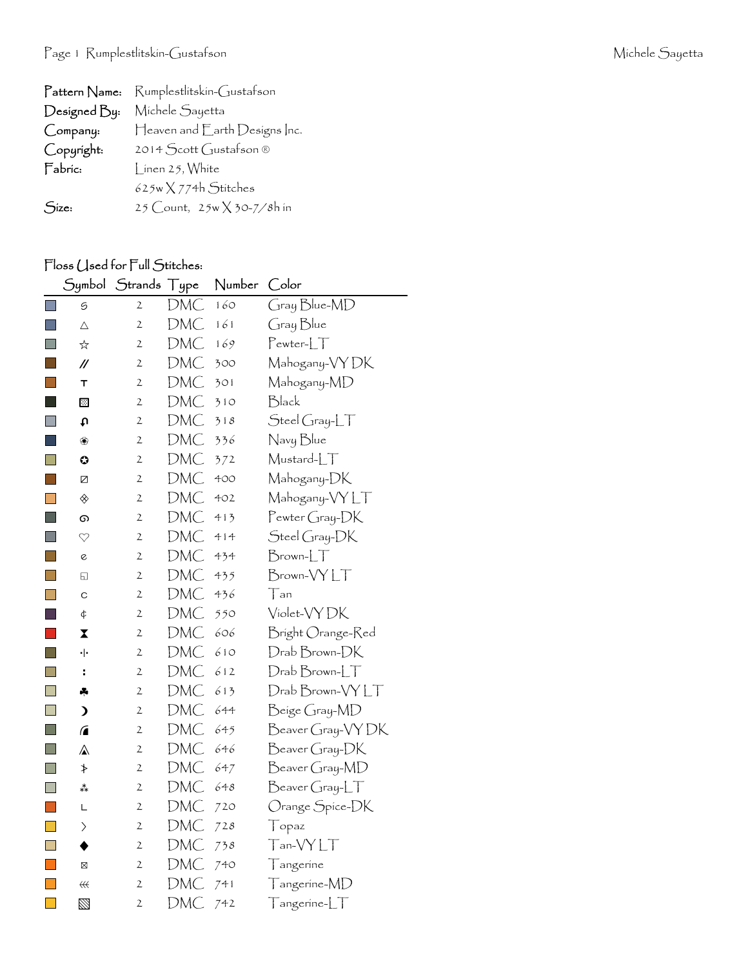|              | Pattern Name: Rumplestlitskin-Gustafson |
|--------------|-----------------------------------------|
| Designed By: | Michele Sayetta                         |
| Company:     | Heaven and Earth Designs Inc.           |
| Copyright:   | 2014 Scott Gustafson ®                  |
| Fabric:      | $\int$ inen 25, White                   |
|              | $625w \times 774h$ Stitches             |
| Size:        | 25 Count, $25w \times 30-7/8h$ in       |

## Floss (Jsed for Full Stitches:

|                             | Symbol                 | <b>Strands</b> | Type       | Number | Color                       |
|-----------------------------|------------------------|----------------|------------|--------|-----------------------------|
| $\Box$                      | 5                      | $\overline{2}$ | DMC        | 160    | Gray Blue-MD                |
| $\Box$                      | $\triangle$            | $\overline{2}$ | DMC        | 161    | Gray Blue                   |
| <b>Tale</b>                 | ☆                      | $\mathfrak{2}$ | DMC        | 169    | $Pewter-LT$                 |
| $\sim$                      | $\mathcal{U}$          | 2              | DMC        | 300    | Mahogany-VYDK               |
|                             | т                      | $\mathfrak{2}$ | DMC        | 301    | Mahogany-MD                 |
| - 1                         | ⊠                      | $\mathbf{2}$   | DMC        | 310    | Black                       |
| $\Box$                      | t                      | 2              | DMC        | 318    | Steel Gray-LT               |
| ×.                          | ❀                      | 2              | DMC        | 336    | Navy Blue                   |
| $\Box$                      | O                      | $\overline{2}$ | <b>DMC</b> | 372    | Mustard-LT                  |
| F.                          | Ø                      | $\mathfrak{2}$ | DMC        | 400    | Mahogany-DK                 |
| $\Box$                      | ◈                      | $\mathfrak{2}$ | DMC        | 402    | Mahogany-VY LT              |
| H                           | ග                      | $\mathfrak{2}$ | DMC        | 413    | Pewter Gray-DK              |
| $\Box$                      | $\heartsuit$           | $\mathfrak{2}$ | DMC        | 414    | Steel Gray-DK               |
| I.                          | $\mathcal{C}$          | 2              | DMC        | 434    | $Brown$ - $LT$              |
| Ħ                           | ⊡                      | 2              | DMC        | 435    | Brown-VYLT                  |
|                             | C                      | $\mathfrak{2}$ | DMC        | 436    | Tan                         |
| H                           | ¢                      | 2              | DMC        | 550    | Violet-VYDK                 |
|                             | X                      | $\mathfrak{2}$ | DMC        | 606    | Bright Orange-Red           |
| <b>I</b>                    | ٠ŀ                     | 2              | DMC        | 610    | Drab Brown-DK               |
| $\Box$                      | ÷                      | $\mathbf{2}$   | DMC        | 612    | $D$ rab $B$ rown- $LT$      |
| $\Box$                      | ÷                      | $\mathbf{2}$   | DMC        | 613    | Drab Brown-VYLT             |
| $\Box$                      | $\lambda$              | 2              | DMC        | 644    | Beige Gray-MD               |
| $\Box$                      | $\sqrt{2}$             | $\mathfrak{2}$ | DMC        | 645    | Beaver Gray-VYDK            |
| <b>I</b>                    | $\mathbb A$            | $\mathbf{2}$   | DMC        | 646    | Beaver Gray-DK              |
| $\Box$                      | ≯                      | $\mathfrak{2}$ | DMC        | 647    | Beaver Gray-MD              |
| $\mathbb{R}^n$              | **                     | 2              | DMC        | 648    | $\beta$ eaver Gray-L $\top$ |
| $\mathcal{L}_{\mathcal{A}}$ | L                      | $\mathfrak{2}$ | DMC        | 720    | Orange Spice-DK             |
| $\overline{\mathbb{R}^n}$   | $\left. \right\rangle$ | $\mathbf{2}$   | DMC        | 728    | Topaz                       |
|                             |                        | $\mathfrak{2}$ | DMC        | 738    | $T$ an- $\sf VYLT$          |
| <b>T</b>                    | $\boxtimes$            | 2              | DMC        | 740    | Tangerine                   |
| <b>The Co</b>               | ₩                      | 2              | DMC        | 741    | $T$ angerine- $MD$          |
| $\Box$                      | $\mathbb Z$            | 2              | DMC        | 742    | $T$ angerine- $LT$          |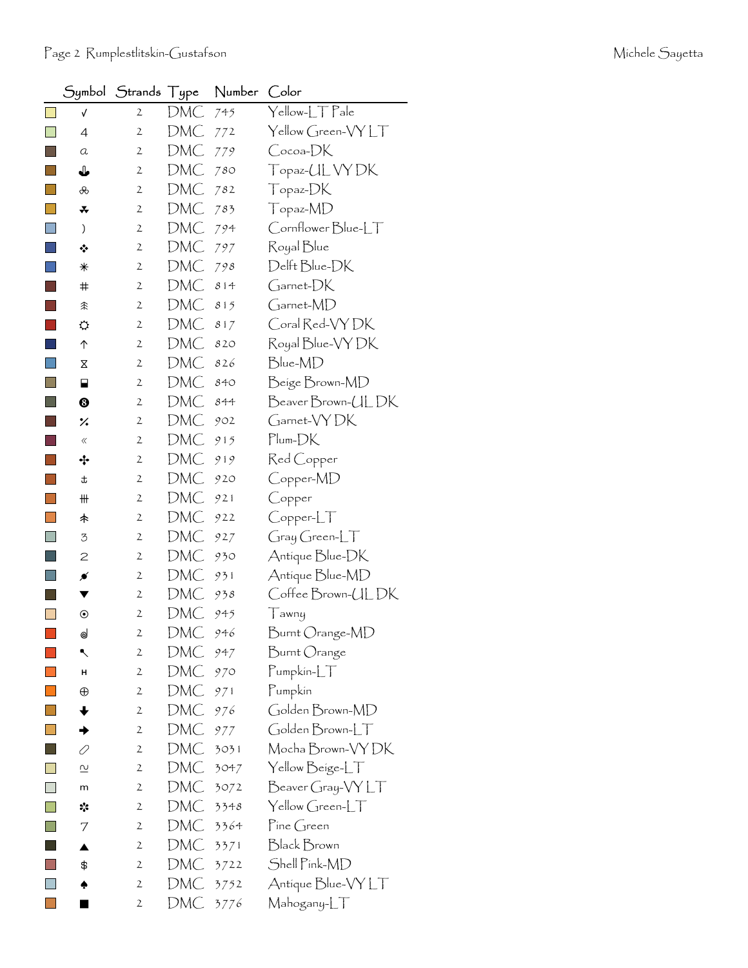|                | Symbol                  | Strands Type   |            | Number | Color              |
|----------------|-------------------------|----------------|------------|--------|--------------------|
|                | $\sqrt{ }$              | $\mathbf{2}$   | DMC        | 745    | Yellow-LT Pale     |
| $\Box$         | $\overline{4}$          | 2              | DMC        | 772    | Yellow Green-VY LT |
|                | a                       | 2              | DMC        | 779    | Cocoa-DK           |
|                | ↓                       | $\mathfrak{2}$ | DMC        | 780    | Topaz-UL VY DK     |
| $\sim$         | ൿ                       | 2              | DMC        | 782    | Topaz-DK           |
| <b>College</b> | *                       | $\mathfrak{2}$ | DMC        | 783    | Topaz-MD           |
| ×              | )                       | 2              | DMC        | 794    | Cornflower Blue-LT |
|                | ❖                       | $\mathbf{2}$   | DMC        | 797    | Royal Blue         |
|                | $\ast$                  | 2              | DMC        | 798    | Delft Blue-DK      |
|                | $\bm{\ddot{}}$          | 2              | DMC        | 814    | Garnet-DK          |
|                | 余                       | 2              | DMC        | 815    | Garnet-MD          |
|                | ⇔                       | $\mathfrak{2}$ | DMC        | 817    | Coral Red-VY DK    |
|                | ↑                       | 2              | DMC        | 820    | Royal Blue-VY DK   |
| ×              | Χ                       | $\mathfrak{2}$ | DMC        | 826    | Blue-MD            |
|                | ⊟                       | 2              | DMC        | 840    | Beige Brown-MD     |
|                | ❸                       | 2              | DMC        | 844    | BeaverBrown-ULDK   |
|                | ×.                      | 2              | DMC        | 902    | Garnet-VYDK        |
|                | $\langle\!\langle$      | $\mathfrak{2}$ | DMC        | 915    | $Plum-DK$          |
|                | ∻                       | 2              | DMC        | 919    | Red Copper         |
|                | t                       | $\mathbf{2}$   | DMC        | 920    | Copper-MD          |
|                | ₩                       | $\mathfrak{2}$ | DMC        | 921    | Copper             |
|                | 未                       | 2              | DMC        | 922    | Copper-LT          |
|                | 3                       | $\mathfrak{2}$ | DMC        | 927    | $Gray Green-LT$    |
|                | 2                       | 2              | DMC        | 930    | Antique Blue-DK    |
|                | ≸                       | 2              | DMC        | 931    | Antique Blue-MD    |
|                |                         | $\mathfrak{2}$ | DMC        | 938    | Coffee Brown-ULDK  |
|                | $_{\textstyle\odot}$    | 2              | DMC        | 945    | Tawny              |
|                | ⊚                       | $\mathbf{z}$   | <b>DMC</b> | 946    | Burnt Orange-MD    |
|                | ↖                       | $\mathfrak{2}$ | DMC        | 947    | Burnt Orange       |
|                | н                       | 2              | DMC        | 970    | Pumpkin-LT         |
|                | $\oplus$                | $\mathfrak{2}$ | DMC        | 971    | Pumpkin            |
|                | ✦                       | $\mathfrak{2}$ | DMC        | 976    | Golden Brown-MD    |
| O              |                         | $\mathfrak{2}$ | DMC        | 977    | Golden Brown-LT    |
|                | 0                       | $\mathfrak{2}$ | DMC        | 3031   | Mocha Brown-VY DK  |
|                | $\overline{\mathsf{c}}$ | $\mathbf{2}$   | DMC        | 3047   | Yellow Beige-LT    |
| $\Box$         | m                       | $\mathfrak{2}$ | DMC        | 3072   | Beaver Gray-VY LT  |
|                | ☆                       | $\mathfrak{2}$ | DMC        | 3348   | Yellow Green-LT    |
|                | 7                       | $\mathfrak{2}$ | DMC        | 3364   | Pine Green         |
|                | ▲                       | $\mathbf{2}$   | DMC        | 3371   | Black Brown        |
|                | \$                      | 2              | DMC        | 3722   | Shell Pink-MD      |
|                |                         | $\mathfrak{2}$ | DMC        | 3752   | Antique Blue-VY LT |
|                |                         | 2              | DMC        | 3776   | Mahogany-LT        |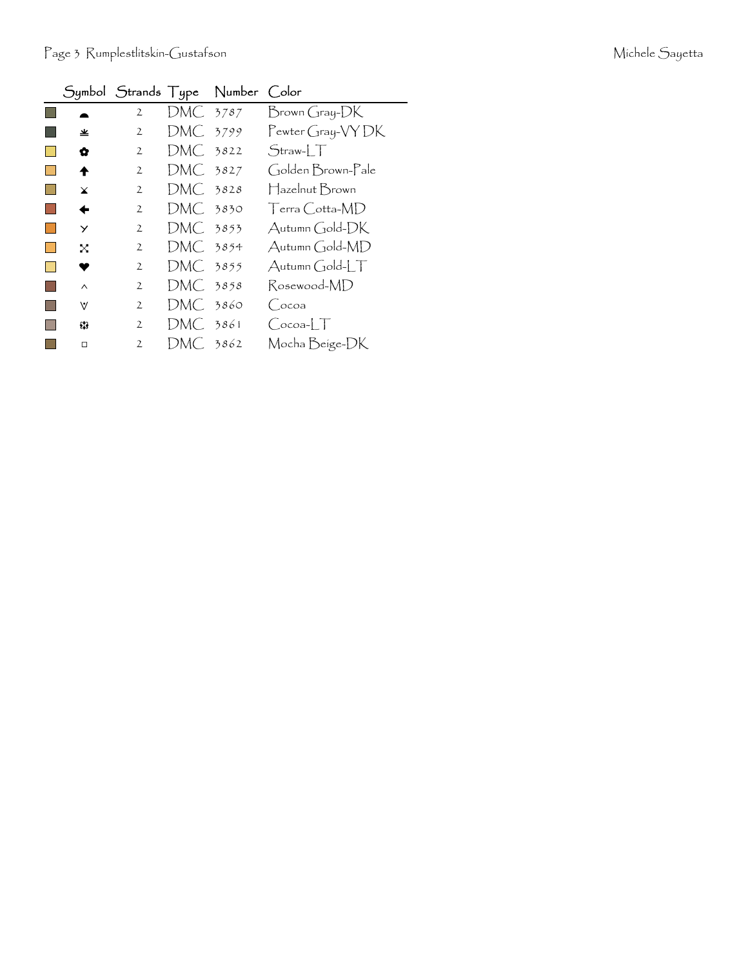|              |                |            | Symbol Strands Type Number Color |                             |
|--------------|----------------|------------|----------------------------------|-----------------------------|
|              | $\mathbf{2}$   | DMC 3787   |                                  | Brown Gray-DK               |
| 坐            | $\mathfrak{2}$ | DMC 3799   |                                  | Pewter Gray-VY DK           |
| ✿            | $\mathfrak{2}$ | DMC 3822   |                                  | $Straw-1$                   |
| ♠            | $\mathbf{2}$   | DMC 3827   |                                  | Golden Brown-Pale           |
| $\mathbf x$  | $\mathbf{2}$   | $DMC$ 3828 |                                  | Hazelnut Brown              |
| ←            | $\mathbf{2}$   | DMC. 3830  |                                  | Terra Cotta-MD              |
| $\checkmark$ | $\mathbf{2}$   | DMC 3853   |                                  | Autumn Gold-DK              |
| X            | $\mathbf{2}$   | DMC 3854   |                                  | Autumn Gold-MD              |
| ♥            | $\mathbf{2}$   | DMC 3855   |                                  | $\Delta$ utumn Gold- $\int$ |
| $\wedge$     | $\mathfrak{2}$ | DMC 3858   |                                  | Rosewood-MD                 |
| $\forall$    | $\mathfrak{2}$ | $DMC$ 3860 |                                  | (coa                        |
| 83           | $\mathfrak{2}$ | DMC 3861   |                                  | $Cocoa-LT$                  |
| $\Box$       | $\mathfrak{2}$ | DMC 3862   |                                  | Mocha Beige-DK              |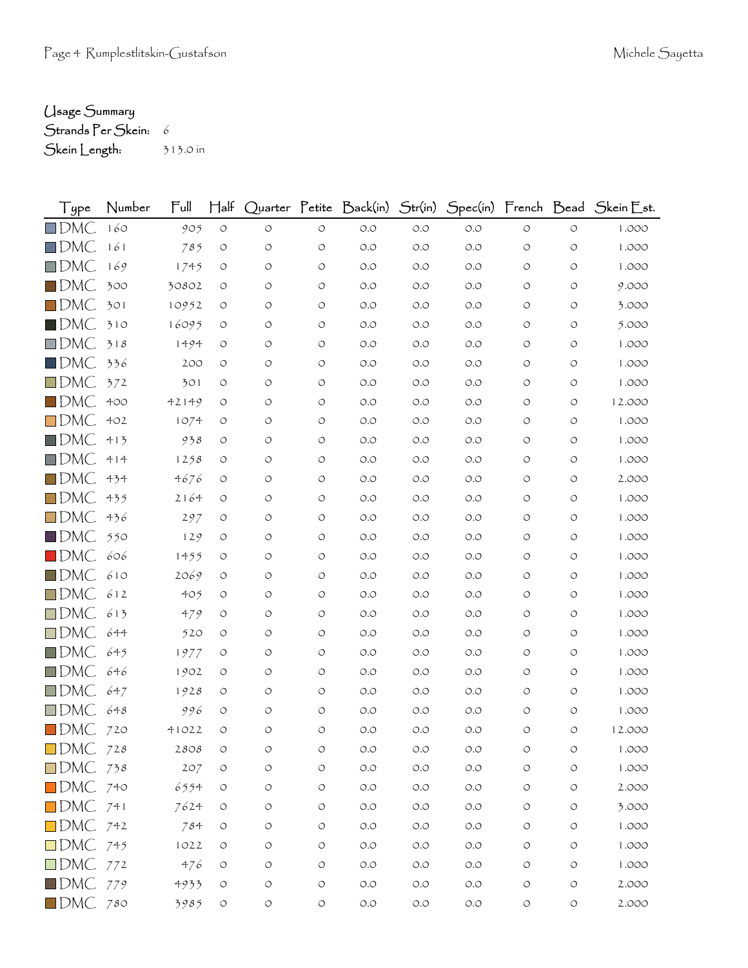## Usage Summary

```
Strands Per Skein: 6
Skein Length: 313.0 in
```

| $\int$ ype             | Number | Full  | $H$ alf            |                    |                    |       |       |       |                    |                    | Quarter Petite Back(in) Str(in) Spec(in) French Bead SkeinEst. |
|------------------------|--------|-------|--------------------|--------------------|--------------------|-------|-------|-------|--------------------|--------------------|----------------------------------------------------------------|
| $\Box$ DMC             | 160    | 905   | $\bigcirc$         | $\circlearrowleft$ | $\circ$            | $O.O$ | $O.O$ | $O.O$ | $\circlearrowleft$ | $\circlearrowleft$ | 1.000                                                          |
| $\Box$ DMC             | 161    | 785   | O                  | $\circ$            | $\circ$            | O.O   | $O.O$ | O.O   | O                  | $\circ$            | 1.000                                                          |
| $\Box$ DMC             | 169    | 1745  | $\circ$            | $\circlearrowleft$ | $\bigcirc$         | O.O   | O.O   | O.O   | O                  | $\circ$            | 1.000                                                          |
| $\blacksquare$ dmC     | 300    | 30802 | O                  | O                  | $\circ$            | O.O   | O.O   | O.O   | O                  | O                  | 9.000                                                          |
| $\Box$ DMC             | 301    | 10952 | O                  | O                  | $\circ$            | O.O   | $O.O$ | O.O   | O                  | O                  | 3.000                                                          |
| $\blacksquare$ DMC     | 310    | 16095 | $\circ$            | $\circlearrowleft$ | $\circ$            | O.O   | O.O   | O.O   | O                  | $\circ$            | 5.000                                                          |
| $\square$ DMC          | 318    | 1494  | O                  | O                  | $\circ$            | O.O   | O.O   | O.O   | O                  | O                  | 1.000                                                          |
| $\square$ DMC          | 336    | 200   | O                  | $\circ$            | $\circ$            | O.O   | O.O   | O.O   | O                  | O                  | 1.000                                                          |
| $\Box$ DMC             | 372    | 301   | $\circ$            | $\circlearrowleft$ | $\bigcirc$         | $O.O$ | O.O   | O.O   | O                  | O                  | 1.000                                                          |
| $\blacksquare$ DMC     | 400    | 42149 | O                  | O                  | $\circ$            | O.O   | O.O   | O.O   | O                  | O                  | 12.000                                                         |
| $\square$ DMC          | 402    | 1074  | O                  | O                  | $\circ$            | O.O   | O.O   | O.O   | $\circ$            | $\circ$            | 1.000                                                          |
| $\blacksquare$ DMC     | 413    | 938   | $\circ$            | $\circ$            | $\circ$            | O.O   | O.O   | O.O   | O                  | O                  | 1.000                                                          |
| $\Box$ DMC             | 414    | 1258  | O                  | O                  | $\circ$            | O.O   | O.O   | O.O   | O                  | O                  | 1.000                                                          |
| $\Box$ DMC             | 434    | 4676  | $\circ$            | O                  | $\circlearrowleft$ | O.O   | O.O   | O.O   | O                  | $\circ$            | 2.000                                                          |
| $\Box$ DMC             | 435    | 2164  | $\circ$            | $\circ$            | $\circ$            | O.O   | O.O   | O.O   | O                  | O                  | 1.000                                                          |
| $\square$ DMC          | 436    | 297   | O                  | O                  | $\circ$            | O.O   | O.O   | O.O   | O                  | O                  | 1.000                                                          |
| $\blacksquare$ DMC     | 550    | 129   | O                  | O                  | $\circ$            | O.O   | O.O   | O.O   | O                  | $\circ$            | 1.000                                                          |
| $\blacksquare$ DMC     | 606    | 1455  | O                  | $\circ$            | $\circ$            | O.O   | O.O   | O.O   | O                  | O                  | 1.000                                                          |
| $\square$ DMC          | 610    | 2069  | O                  | $\circ$            | $\circ$            | O.O   | O.O   | O.O   | O                  | O                  | 1.000                                                          |
| $\Box$ DMC             | 612    | 405   | O                  | O                  | $\circ$            | O.O   | O.O   | O.O   | O                  | $\circ$            | 1.000                                                          |
| $\square$ DMC          | 613    | 479   | O                  | $\circ$            | $\circ$            | O.O   | $O.O$ | O.O   | O                  | O                  | 1.000                                                          |
| $\Box$ DMC             | 644    | 520   | O                  | $\circ$            | $\circ$            | O.O   | O.O   | O.O   | O                  | $\circ$            | 1.000                                                          |
| $\square$ DMC          | 645    | 1977  | O                  | O                  | $\circ$            | O.O   | O.O   | O.O   | O                  | O                  | 1.000                                                          |
| $\Box$ DMC             | 646    | 1902  | $\circ$            | $\circ$            | $\circ$            | O.O   | O.O   | O.O   | O                  | O                  | 1.000                                                          |
| $\Box$ DMC             | 647    | 1928  | O                  | $\circ$            | $\circ$            | O.O   | O.O   | O.O   | O                  | O                  | 1.000                                                          |
| $\square$ DMC          | 648    | 996   | O                  | O                  | $\circ$            | O.O   | O.O   | O.O   | O                  | $\circ$            | 1.000                                                          |
| $\blacksquare$ DMC     | 720    | 41022 | O                  | $\circ$            | $\circ$            | O.O   | O.O   | O.O   | O                  | O                  | 12.000                                                         |
| $\square$ DMC          | 728    | 2808  | O                  | O                  | O                  | O.O   | O.O   | O.O   | O                  | O                  | 1.000                                                          |
| $\Box$ DMC 738         |        | 207   | $\circ$            | O                  | $\circ$            | $O.O$ | $O.O$ | O.O   | O                  | $\circ$            | 1.000                                                          |
| $\blacksquare$ DMC 740 |        | 6554  | $\circ$            | $\bigcirc$         | $\bigcirc$         | $O.O$ | $O.O$ | $O.O$ | $\circ$            | $\circ$            | 2.000                                                          |
| $\Box$ DMC 741         |        | 7624  | $\circ$            | O                  | $\circ$            | $O.O$ | $O.O$ | $O.O$ | O                  | $\circ$            | 3.000                                                          |
| $\Box$ DMC 742         |        | 784   | O                  | O                  | $\circ$            | O.O   | $O.O$ | $O.O$ | O                  | $\circ$            | 1.000                                                          |
| $\Box$ DMC 745         |        | 1022  | O                  | $\circ$            | $\bigcirc$         | $O.O$ | $O.O$ | $O.O$ | O                  | $\circ$            | 1.000                                                          |
| $\Box$ DMC 772         |        | 476   | O                  | O                  | $\circ$            | $O.O$ | $O.O$ | $O.O$ | O                  | $\circ$            | 1.000                                                          |
| $\blacksquare$ DMC 779 |        | 4933  | $\circ$            | O                  | $\circlearrowleft$ | $O.O$ | $O.O$ | $O.O$ | O                  | $\bigcirc$         | 2.000                                                          |
| $\blacksquare$ DMC 780 |        | 3985  | $\circlearrowleft$ | $\bigcirc$         | $\circ$            | $O.O$ | $O.O$ | $O.O$ | $\circ$            | $\circlearrowleft$ | 2.000                                                          |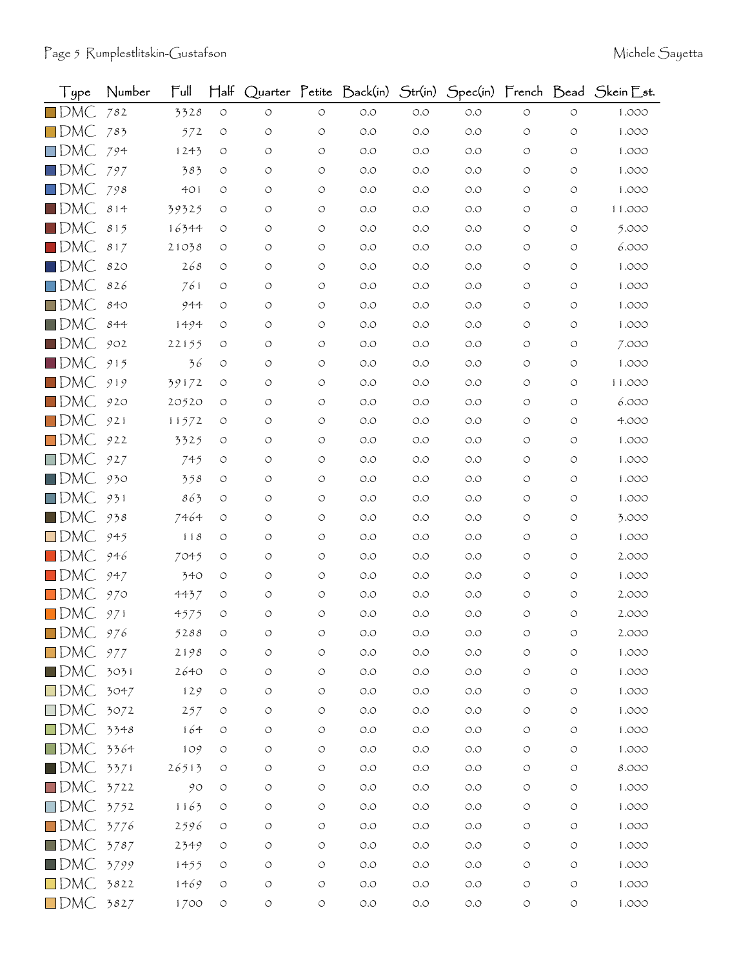| Type               | Number | Full  | $\mathsf{H\mathsf{a}\mathsf{lf}}$ |            |                    | Quarter Petite Back(in) Str(in)      |       |       |                    |            | Spec(in) French Bead Skein Est. |
|--------------------|--------|-------|-----------------------------------|------------|--------------------|--------------------------------------|-------|-------|--------------------|------------|---------------------------------|
| $\square$ DMC      | 782    | 3328  | $\circ$                           | $\circ$    | $\circ$            | $O.O$                                | O.O   | $O.O$ | $\circ$            | $\circ$    | 1.000                           |
| $\square$ DMC      | 783    | 572   | $\circ$                           | O          | O                  | O.O                                  | O.O   | O.O   | O                  | O          | 1.000                           |
| $\square$ DMC      | 794    | 1243  | O                                 | O          | O                  | O.O                                  | O.O   | O.O   | $\circ$            | O          | 1.000                           |
| $\square$ DMC      | 797    | 383   | O                                 | O          | $\circ$            | O.O                                  | O.O   | O.O   | O                  | O          | 1.000                           |
| $\square$ DMC      | 798    | 401   | O                                 | O          | O                  | O.O                                  | O.O   | O.O   | O                  | O          | 1.000                           |
| $\blacksquare$ DMC | 814    | 39325 | O                                 | O          | $\circ$            | O.O                                  | O.O   | O.O   | O                  | O          | 11.000                          |
| $\blacksquare$ DMC | 815    | 16344 | O                                 | O          | $\circ$            | $O.O$                                | O.O   | O.O   | O                  | O          | 5.000                           |
| $\blacksquare$ DMC | 817    | 21038 | O                                 | O          | $\circ$            | O.O                                  | O.O   | O.O   | O                  | O          | 6.000                           |
| $\blacksquare$ DMC | 820    | 268   | O                                 | O          | $\circ$            | O.O                                  | O.O   | O.O   | O                  | O          | 1.000                           |
| $\Box$ DMC         | 826    | 761   | O                                 | O          | O                  | O.O                                  | O.O   | O.O   | O                  | O          | 1.000                           |
| $\square$ DMC      | 840    | 944   | O                                 | O          | $\circ$            | O.O                                  | O.O   | O.O   | O                  | O          | 1.000                           |
| $\blacksquare$ DMC | 844    | 1494  | O                                 | O          | $\circ$            | O.O                                  | O.O   | O.O   | O                  | O          | 1.000                           |
| $\square$ DMC      | 902    | 22155 | O                                 | O          | O                  | $O.O$                                | O.O   | O.O   | O                  | O          | 7.000                           |
| $\blacksquare$ DMC | 915    | 36    | $\circ$                           | O          | $\circ$            | O.O                                  | O.O   | O.O   | O                  | O          | 1.000                           |
| $\square$ DMC      | 919    | 39172 | O                                 | O          | $\circ$            | O.O                                  | O.O   | O.O   | O                  | O          | 11.000                          |
| $\square$ DMC      | 920    | 20520 | O                                 | O          | $\circ$            | O.O                                  | O.O   | O.O   | O                  | O          | 6.000                           |
| $\square$ DMC      | 921    | 11572 | O                                 | O          | $\circ$            | O.O                                  | O.O   | O.O   | O                  | O          | 4.000                           |
| $\square$ DMC      | 922    | 3325  | O                                 | O          | O                  | O.O                                  | O.O   | O.O   | O                  | O          | 1.000                           |
| $\square$ DMC      | 927    | 745   | O                                 | O          | $\circ$            | O.O                                  | O.O   | O.O   | O                  | O          | 1.000                           |
| $\blacksquare$ DMC | 930    | 358   | O                                 | O          | $\circ$            | $O.O$                                | O.O   | O.O   | O                  | O          | 1.000                           |
| $\square$ DMC      | 931    | 863   | O                                 | O          | O                  | O.O                                  | O.O   | O.O   | O                  | O          | 1.000                           |
| $\square$ DMC      | 938    | 7464  | O                                 | O          | O                  | O.O                                  | O.O   | O.O   | O                  | O          | 3.000                           |
| $\square$ DMC      | 945    | 118   | O                                 | O          | $\circ$            | $O.O$                                | O.O   | O.O   | O                  | O          | 1.000                           |
| $\blacksquare$ DMC | 946    | 7045  | O                                 | O          | O                  | O.O                                  | O.O   | O.O   | O                  | O          | 2.000                           |
| $\blacksquare$ DMC | 947    | 340   | O                                 | O          | O                  | O.O                                  | O.O   | O.O   | O                  | O          | 1.000                           |
| $\Box$ DMC         | 970    | 4437  | O                                 | O          | $\circ$            | $O.O$                                | O.O   | O.O   | O                  | O          | 2.000                           |
| $\blacksquare$ DMC | 971    | 4575  | O                                 | O          | $\circ$            | O.O                                  | O.O   | O.O   | O                  | O          | 2.000                           |
| $\Box$ DMC         | 976    | 5288  |                                   |            | O                  | O.O                                  | O.O   | O.O   |                    |            | 2.000                           |
| $\square$ DMC      | 977    | 2198  | O                                 | O          | $\circ$            | $O.O$                                | $O.O$ | O.O   | $\circ$            | O          | 1.000                           |
| $\blacksquare$ DMC | 3031   | 2640  | $\circ$                           | $\bigcirc$ | $\circ$            | $\circlearrowleft.\circlearrowright$ | $O.O$ | $O.O$ | $\circ$            | $\circ$    | 1.000                           |
| $\square$ DMC      | 3047   | 129   | $\circlearrowleft$                | $\bigcirc$ | O                  | $O.O$                                | $O.O$ | $O.O$ | $\circ$            | $\circ$    | 1.000                           |
| $\square$ DMC      | 3072   | 257   | $\circ$                           | O          | $\circ$            | $O.O$                                | O.O   | $O.O$ | O                  | O          | 1.000                           |
| $\square$ DMC      | 3348   | 164   | O                                 | $\circ$    | $\circ$            | $O.O$                                | $O.O$ | $O.O$ | $\circ$            | $\circ$    | 1.000                           |
| $\square$ DMC      | 3364   | 109   | $\circ$                           | O          | $\circ$            | $O.O$                                | $O.O$ | $O.O$ | O                  | О          | 1.000                           |
| $\blacksquare$ DMC | 3371   | 26513 | $\circ$                           | O          | O                  | $O.O$                                | $O.O$ | $O.O$ | $\circ$            | O          | 8.000                           |
| $\square$ DMC      | 3722   | 90    | O                                 | O          | $\circlearrowleft$ | $O.O$                                | $O.O$ | $O.O$ | $\circ$            | O          | 1.000                           |
| $\square$ DMC      | 3752   | 1163  | $\circ$                           | O          | $\circ$            | O.O                                  | $O.O$ | $O.O$ | O                  | $\circ$    | 1.000                           |
| $\square$ DMC      | 3776   | 2596  | O                                 | O          | O                  | $O.O$                                | O.O   | $O.O$ | $\circ$            | $\circ$    | 1.000                           |
| $\blacksquare$ DMC | 3787   | 2349  | $\circ$                           | O          | $\circ$            | $O.O$                                | $O.O$ | $O.O$ | $\circ$            | $\circ$    | 1.000                           |
| $\blacksquare$ DMC | 3799   | 1455  | $\circ$                           | O          | $\circ$            | $O.O$                                | $O.O$ | $O.O$ | O                  | O          | 1.000                           |
| $\square$ DMC      | 3822   | 1469  | $\circlearrowleft$                | O          | $\circ$            | $O.O$                                | $O.O$ | $O.O$ | $\circ$            | $\bigcirc$ | 1.000                           |
| $\Box$ DMC         | 3827   | 1700  | $\circlearrowleft$                | $\bigcirc$ | $\circlearrowleft$ | $O.O$                                | $O.O$ | $O.O$ | $\circlearrowleft$ | $\circ$    | 1.000                           |